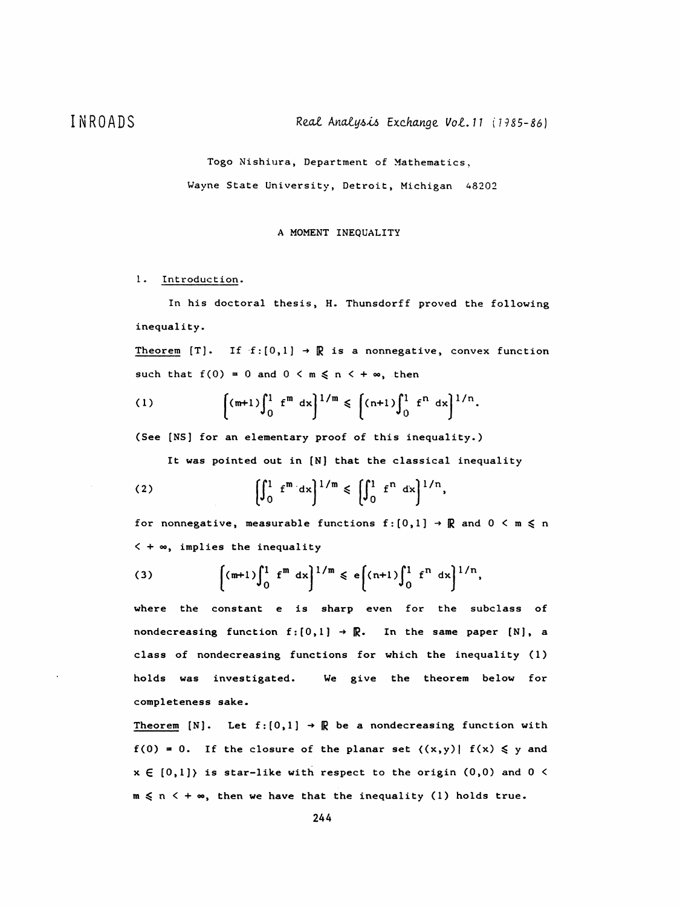Togo Nishiura, Department of Mathematics,

Wayne State University, Detroit, Michigan 48202

## A MOMENT INEQUALITY

## 1. Introduction.

 In his doctoral thesis, H. Thunsdorff proved the following inequality.

Theorem [T]. If  $f:[0,1] \rightarrow \mathbb{R}$  is a nonnegative, convex function such that  $f(0) = 0$  and  $0 \le m \le n \le +\infty$ , then

(1) 
$$
\left[ \binom{m+1}{0} \int_{0}^{1} f^{m} dx \right]^{1/m} \leqslant \left[ \binom{n+1}{0} \int_{0}^{1} f^{n} dx \right]^{1/n}.
$$

(See [NS] for an elementary proof of this inequality.)

It was pointed out in [N] that the classical inequality

(2) 
$$
\left[\int_{0}^{1} f^{m} dx\right]^{1/m} \leq \left[\int_{0}^{1} f^{n} dx\right]^{1/n},
$$

for nonnegative, measurable functions  $f : [0,1] \rightarrow \mathbb{R}$  and  $0 \le m \le n$  $\leq$  +  $\infty$ , implies the inequality

(3) 
$$
\left[ \left( m+1 \right) \int_0^1 f^m dx \right]^{1/m} \leqslant e \left[ \left( n+1 \right) \int_0^1 f^n dx \right]^{1/n},
$$

 where the constant e is sharp even for the subclass of nondecreasing function  $f : [0,1] \rightarrow \mathbb{R}$ . In the same paper  $[N]$ , a class of nondecreasing functions for which the inequality (1) holds was investigated. We give the theorem below for completeness sake.

Theorem [N]. Let  $f:[0,1] \rightarrow \mathbb{R}$  be a nondecreasing function with  $f(0) = 0$ . If the closure of the planar set  $\{(x,y) | f(x) \le y \text{ and }$  $x \in [0,1]$  is star-like with respect to the origin  $(0,0)$  and  $0 <$  $m \le n \le +\infty$ , then we have that the inequality (1) holds true.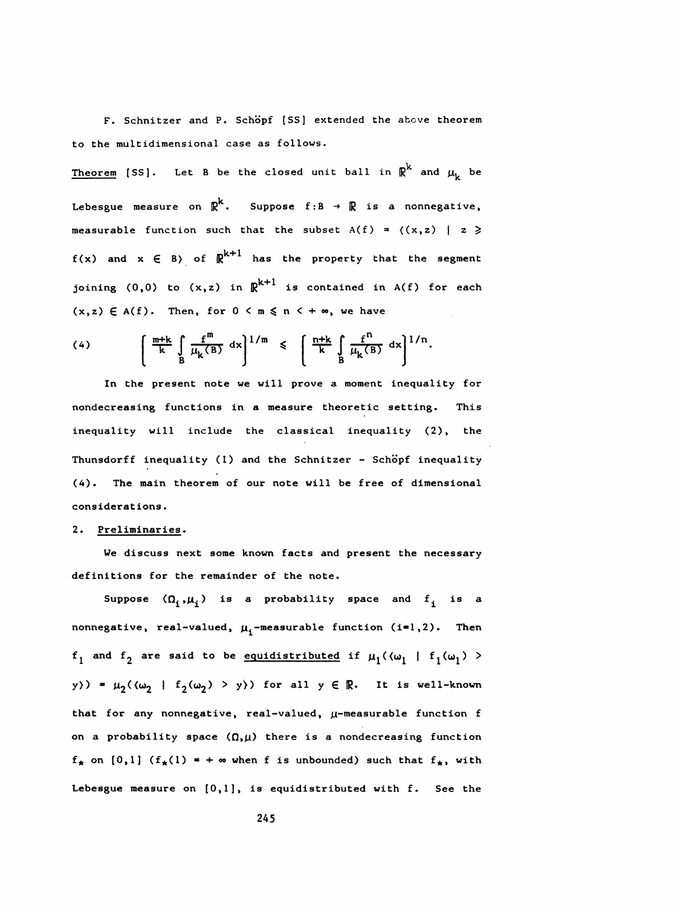F. Schnitzer and P. Schöpf [SS] extended the above theorem to the multidimensional case as follows.

Theorem [SS]. Let B be the closed unit ball in  $\mathbb{R}^k$  and  $\mu_k$  be Lebesgue measure on  $\mathbb{R}^k$ . Suppose f:B  $\rightarrow$   $\mathbb{R}$  is a nonnegative, measurable function such that the subset  $A(f) = \langle (x, z) | z \rangle$  $f(x)$  and  $x \in B$ ) of  $\mathbb{R}^{k+1}$  has the property that the segment joining (0,0) to  $(x, z)$  in  $\mathbb{R}^{k+1}$  is contained in A(f) for each  $(x, z) \in A(f)$ . Then, for  $0 < m \le n < +\infty$ , we have

(4) 
$$
\left(\begin{array}{cc} \frac{m+k}{k} \int_{B} \frac{f^{m}}{\mu_{k}(B)} dx \end{array}\right)^{1/m} \leq \left(\begin{array}{cc} \frac{n+k}{k} \int_{B} \frac{f^{n}}{\mu_{k}(B)} dx \end{array}\right)^{1/n}.
$$

 In the present note we will prove a moment inequality for nondecreasing functions in a measure theoretic setting. This inequality will include the classical inequality (2), the Thunsdorff inequality (1) and the Schnitzer - Schöpf inequality (4). The main theorem of our note will be free of dimensional considerations •

## 2. Preliminaries.

 We discuss next some known facts and present the necessary definitions for the remainder of the note.

Suppose  $(\Omega_i,\mu_i)$  is a probability space and  $f_i$  is a nonnegative, real-valued,  $\mu_i$ -measurable function (i=1,2). Then  $f_1$  and  $f_2$  are said to be equidistributed if  $\mu_1(\langle \omega_1 | f_1(\omega_1) \rangle)$ y>) =  $\mu_2(\langle \omega_2 | f_2(\omega_2) > y \rangle)$  for all  $y \in \mathbb{R}$ . It is well-known that for any nonnegative, real-valued,  $\mu$ -measurable function f on a probability space  $(\Omega,\mu)$  there is a nondecreasing function  $f_{*}$  on [0,1] ( $f_{*}(1) = +\infty$  when f is unbounded) such that  $f_{*}$ , with Lebesgue measure on [0,1], is equidistributed with f. See the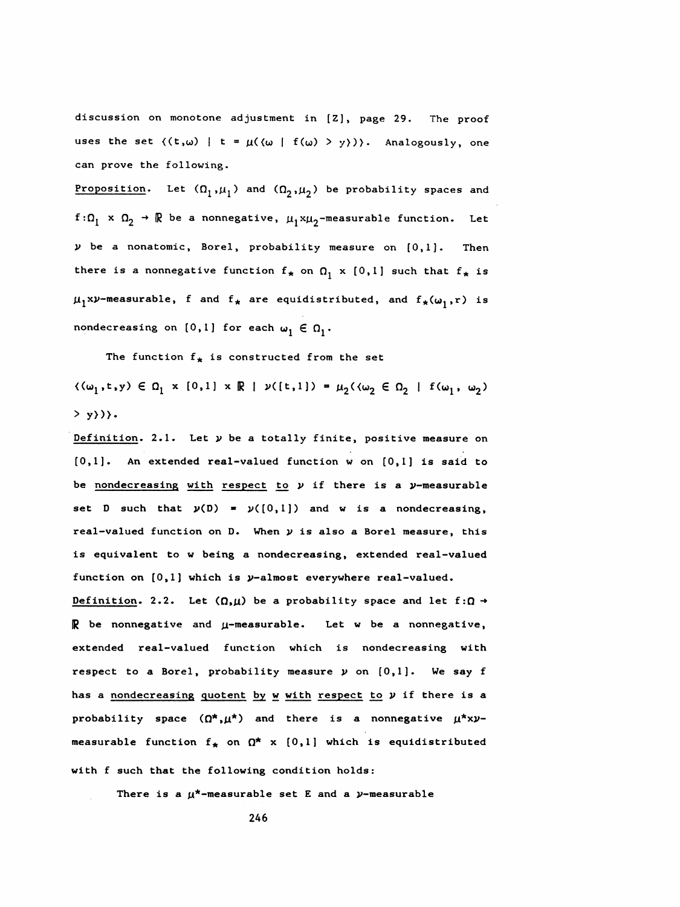discussion on monotone adjustment in [Z], page 29. The proof uses the set  $((t,\omega) | t = \mu((\omega | f(\omega) > y)))$ . Analogously, one can prove the following.

Proposition. Let  $(\Omega_1,\mu_1)$  and  $(\Omega_2,\mu_2)$  be probability spaces and  $f:\Omega_1 \times \Omega_2 \to \mathbb{R}$  be a nonnegative,  $\mu_1 x\mu_2$ -measurable function. Let  $\nu$  be a nonatomic, Borel, probability measure on  $[0,1]$ . Then there is a nonnegative function  $f_{*}$  on  $\Omega_1 \times \{0,1\}$  such that  $f_{*}$  is  $\mu_1$ xy-measurable, f and  $f_*$  are equidistributed, and  $f_*(\omega_1,r)$  is nondecreasing on [0,1] for each  $\omega_1 \in \Omega_1$ .

The function  $f_{\star}$  is constructed from the set

 $\{\langle \omega_1, t, y \rangle \in \Omega_1 \times [0, 1] \times \mathbb{R} \mid y([t, 1]) = \mu_2(\langle \omega_2 \in \Omega_2 \mid f(\omega_1, \omega_2) \rangle\}$  $>$  y})}.

Definition. 2.1. Let  $\nu$  be a totally finite, positive measure on [0,1]. An extended real-valued function w on [0,1] is said to be nondecreasing with respect to  $\nu$  if there is a  $\nu$ -measurable set D such that  $y(D) = y((0,1])$  and w is a nondecreasing, real-valued function on D. When  $y$  is also a Borel measure, this is equivalent to w being a nondecreasing, extended real-valued function on  $[0,1]$  which is  $\nu$ -almost everywhere real-valued.

Definition. 2.2. Let  $(\Omega,\mu)$  be a probability space and let  $f:\Omega \to$  $\mathbb R$  be nonnegative and  $\mu$ -measurable. Let w be a nonnegative, extended real-valued function which is nondecreasing with respect to a Borel, probability measure  $\nu$  on  $[0,1]$ . We say f has a nondecreasing quotent by w with respect to  $y$  if there is a probability space  $(\Omega^*, \mu^*)$  and there is a nonnegative  $\mu^* x y$ measurable function  $f_{\star}$  on  $\Omega^{\star}$  x  $[0,1]$  which is equidistributed

with f such that the following condition holds:

There is a  $\mu^*$ -measurable set E and a  $\nu$ -measurable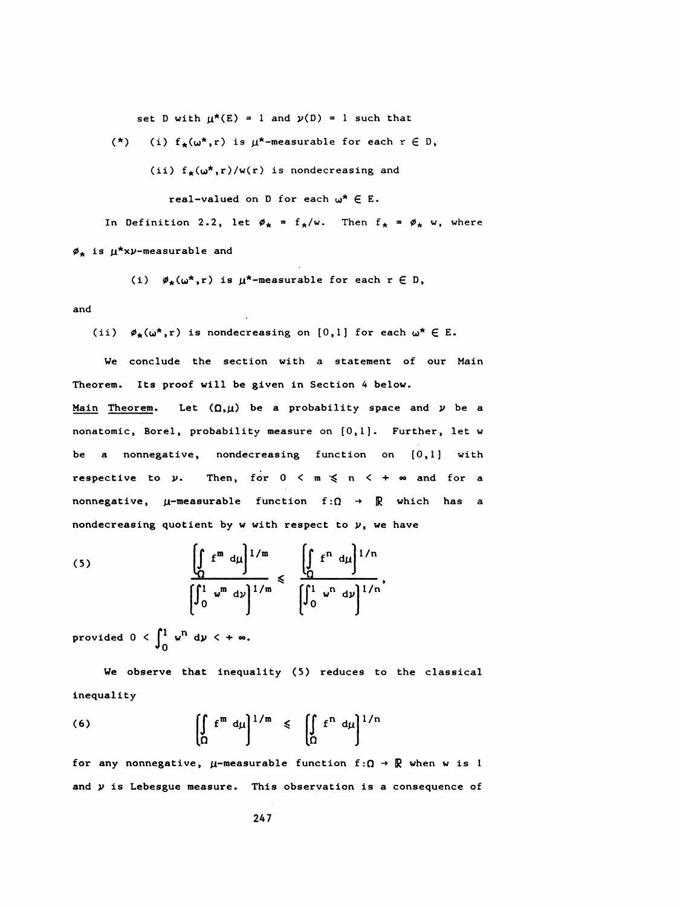set D with  $\mu^*(E) = 1$  and  $\nu(D) = 1$  such that

(\*) (i)  $f_{\star}(\omega^*, r)$  is  $\mu^*$ -measurable for each  $r \in D$ ,

(ii)  $f_{\star}(\omega^{\star}, r)/w(r)$  is nondecreasing and

real-valued on D for each  $\omega^* \in E$ .

In Definition 2.2, let  $\phi_{\star} = f_{\star}/w$ . Then  $f_{\star} = \phi_{\star} w$ , where  $\phi_{\star}$  is  $\mu^{\star}$ xy-measurable and

(i)  $\phi_{\star}(\omega^*, r)$  is  $\mu^*$ -measurable for each  $r \in D$ ,

and

(ii)  $\phi_{\star}(\omega^*, r)$  is nondecreasing on [0,1] for each  $\omega^* \in E$ .

 We conclude the section with a statement of our Main Theorem. Its proof will be given in Section 4 below. Main Theorem. Let  $(\Omega,\mu)$  be a probability space and  $\nu$  be a nonatomic, Borei, probability measure on [0,1]. Further, let w be a nonnegative, nondecreasing function on [0,1] with respective to  $\nu$ . Then, for  $0 < m \le n < +\infty$  and for a nonnegative,  $\mu$ -measurable function  $f : \Omega \rightarrow \mathbb{R}$  which has a nondecreasing quotient by w with respect to  $\nu$ , we have

(5) 
$$
\frac{\left(\int_{\Omega} f^{m} d\mu\right)^{1/m}}{\left(\int_{0}^{1} w^{m} d\nu\right)^{1/m}} \leq \frac{\left(\int_{\Omega} f^{n} d\mu\right)^{1/n}}{\left(\int_{0}^{1} w^{n} d\nu\right)^{1/n}},
$$

provided  $0 < \int_0^1 w^n dy < +\infty$ .

 We observe that inequality (5) reduces to the classical inequality

(6) 
$$
\left[\int_{\Omega} f^{m} d\mu\right]^{1/m} \leq \left[\int_{\Omega} f^{n} d\mu\right]^{1/n}
$$

for any nonnegative,  $\mu$ -measurable function  $f: \Omega \to \mathbb{R}$  when w is 1 and  $y$  is Lebesgue measure. This observation is a consequence of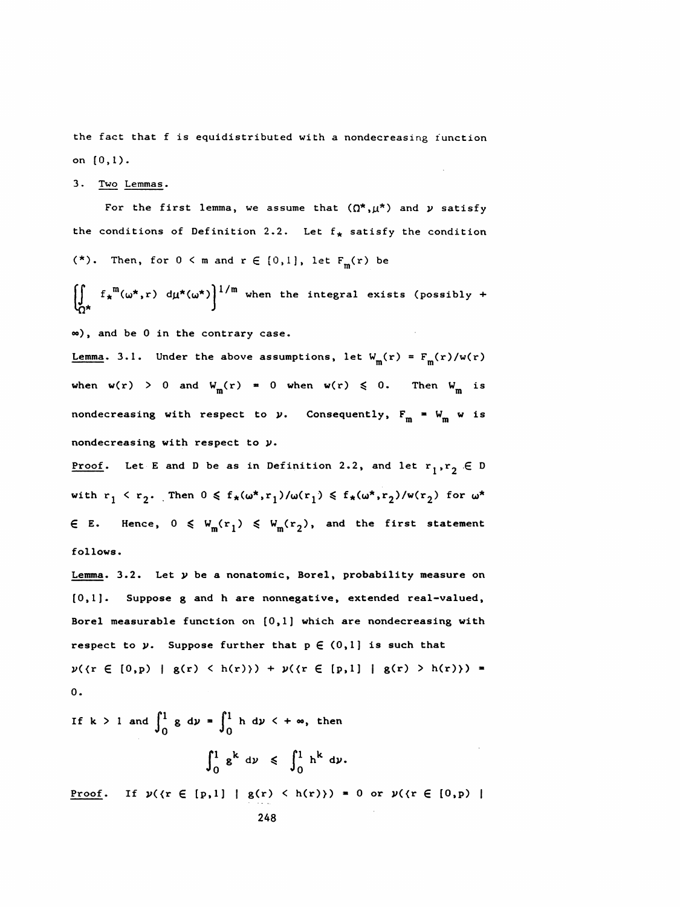the fact that f is equidistributed with a nondecreasing function on (0,1).

3. Two Lemmas.

For the first lemma, we assume that  $(\Omega^*, \mu^*)$  and  $\nu$  satisfy the conditions of Definition 2.2. Let  $f_{*}$  satisfy the condition (\*). Then, for  $0 < m$  and  $r \in \{0,1\}$ , let  $F_m(r)$  be

 $\left[\begin{matrix} 1 & -x & (w',-y) & -\mu & (w',y) \\ 0 & 1 & y & y \end{matrix}\right]$  when the integral exists (possibly +

op), and be 0 in the contrary case.

 $\int_{\Omega^*} f_x^m(\omega^*, r) d\mu^*(\omega^*)$ <sup>1/m</sup> when the integral exists (po<br>  $\infty$ ), and be 0 in the contrary case.<br>
<u>Lemma</u>. 3.1. Under the above assumptions, let  $W_m(r) = F_m$ <br>
when  $w(r) > 0$  and  $W(r) = 0$  when  $w(r) \le 0$ . Then Lemma. 3.1. Under the above assumptions, let  $W_m(r) = F_m(r)/w(r)$ when  $w(r) > 0$  and  $W_m(r) = 0$  when  $w(r) \le 0$ . Then  $W_m$  is ntrary case.<br>
above assumptions, let  $W_m(r) = F_m(r)/r$ <br>  $W_m(r) = 0$  when  $w(r) \le 0$ . Then  $W_m$ nondecreasing with respect to  $\nu$ . Consequently,  $F_m = W_m$  w is nondecreasing with respect to y.

Proof. Let E and D be as in Definition 2.2, and let  $r_1, r_2 \in D$ with  $r_1 \le r_2$ . Then  $0 \le f_*(\omega^*, r_1)/\omega(r_1) \le f_*(\omega^*, r_2)/\omega(r_2)$  for  $\omega^*$  $\epsilon$  E. Hence,  $0 \leq W_m(r_1) \leq W_m(r_2)$ , and the first statement follows .

Lemma. 3.2. Let  $y$  be a nonatomic, Borel, probability measure on [0,1]. Suppose g and h are nonnegative, extended real-valued, Borel measurable function on  $[0,1]$  which are nondecreasing with respect to  $y$ . Suppose further that  $p \in (0,1]$  is such that  $y(\{r \in [0,p) \mid g(r) \leq h(r)\}) + y(\{r \in [p,1] \mid g(r) > h(r)\})$  = 0.

If k > 1 and 
$$
\int_0^1 g \, dv = \int_0^1 h \, dv \le +\infty
$$
, then  

$$
\int_0^1 g^k \, dv \le \int_0^1 h^k \, dv.
$$
  
Proof. If  $\nu$ ( $\tau \in [p,1]$  |  $g(\tau) \le h(\tau)$ ) = 0 or  $\nu$ ( $\tau \in [0,p)$  |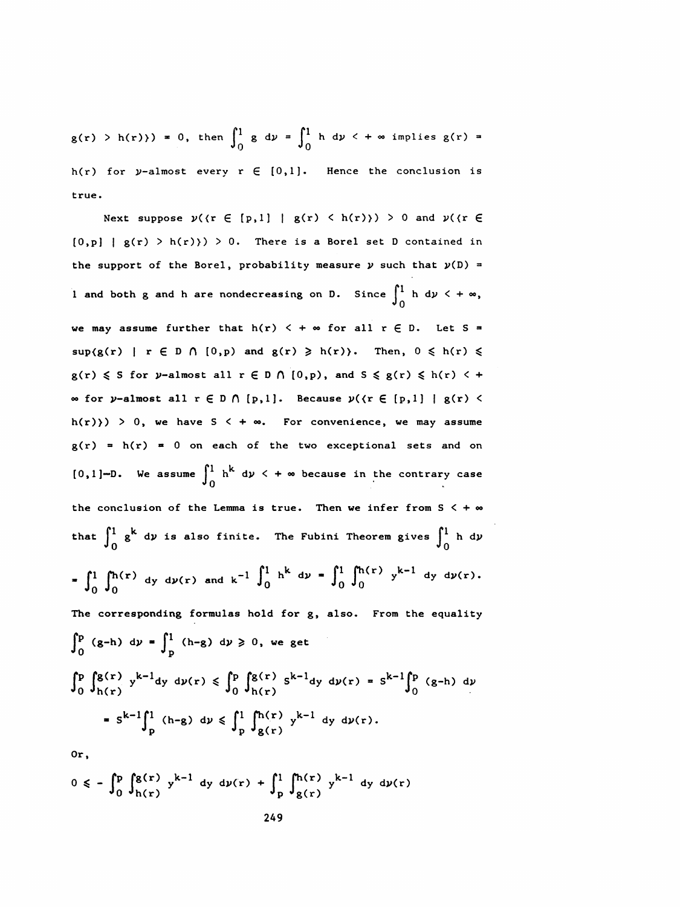$g(r) > h(r)$  = 0, then  $\int_0^1 g dy = \int_0^1 h dy < +\infty$  implies  $g(r) =$ h(r) for y-almost every  $r \in [0,1]$ . Hence the conclusion is true .

Next suppose  $\nu$ ( $\{\r \in [p,1] \mid g(r) \leq h(r)\}\n$ ) > 0 and  $\nu$ ( $\{\r \in$  $[0,p]$  |  $g(r)$  > h(r) > 0. There is a Borel set D contained in the support of the Borel, probability measure  $\nu$  such that  $\nu(D)$  = l and both g and h are nondecreasing on D. Since  $\int_0^1$  h d $\nu$  < +  $\infty$ , we may assume further that  $h(r) < +\infty$  for all  $r \in D$ . Let S =  $\sup(g(r) \mid r \in D \cap [0,p)$  and  $g(r) \geq h(r)$ . Then,  $0 \leq h(r) \leq$  $g(r) \leqslant S$  for y-almost all  $r \in D \cap [0,p)$ , and  $S \leqslant g(r) \leqslant h(r) < +$  $\in$  for y-almost all  $r \in D \cap [p, 1]$ . Because  $y(\{r \in [p, 1] \mid g(r) \leq r\})$  $h(r)$ ) > 0, we have S < +  $\infty$ . For convenience, we may assume  $g(r) = h(r) = 0$  on each of the two exceptional sets and on [0,1]-D. We assume  $\int_0^1$  h<sup>k</sup> d $\nu$  < +  $\infty$  because in the contrary case the conclusion of the Lemma is true. Then we infer from  $S < +\infty$ that  $\int_0^1$  g<sup>k</sup> dy is also finite. The Fubini Theorem gives  $\int_0^1$  h dy -D. We assume  $\int_0^1 h^{k} dy \leq +\infty$  because in the contrary<br>onclusion of the Lemma is true. Then we infer from S<br> $\int_0^1 g^{k} dy$  is also finite. The Fubini Theorem gives  $\int_0^1$ <br> $\int_0^1 (h(r))^{k-1} dr$ [0,1]-D. We assume  $\int_0^1 h^k dy \le +\infty$  because in the contrary case<br>the conclusion of the Lemma is true. Then we infer from  $S \le +\infty$ <br>that  $\int_0^1 g^k dy$  is also finite. The Fubini Theorem gives  $\int_0^1 h dy$ <br> $= \int_0^1 \int_0^{h(r)} dy dy$  The corresponding formulas hold for g, also. From the equality  $\int_{0}^{p}$  (g-h) dy =  $\int_{p}^{1}$  (h-g) dy  $\geqslant$  0, we get  $\int_0^p \int_{h(r)}^{g(r)} y^{k-1} dy \ dy(r) \le \int_0^p \int_{h(r)}^{g(r)} s^{k-1} dy \ dy(r) = s^{k-1} \int_0^p (g-h) \ dy$  $= S^{k-1} \int_{D}^{1} (h-g) \ dy \leqslant \int_{D}^{1} \int_{g(r)}^{h(r)} y^{k-1} \ dy \ dy(r).$ 

Or,

$$
0 \le -\int_0^p \int_{h(r)}^{g(r)} y^{k-1} dy dy(r) + \int_p^1 \int_{g(r)}^{h(r)} y^{k-1} dy dy(r)
$$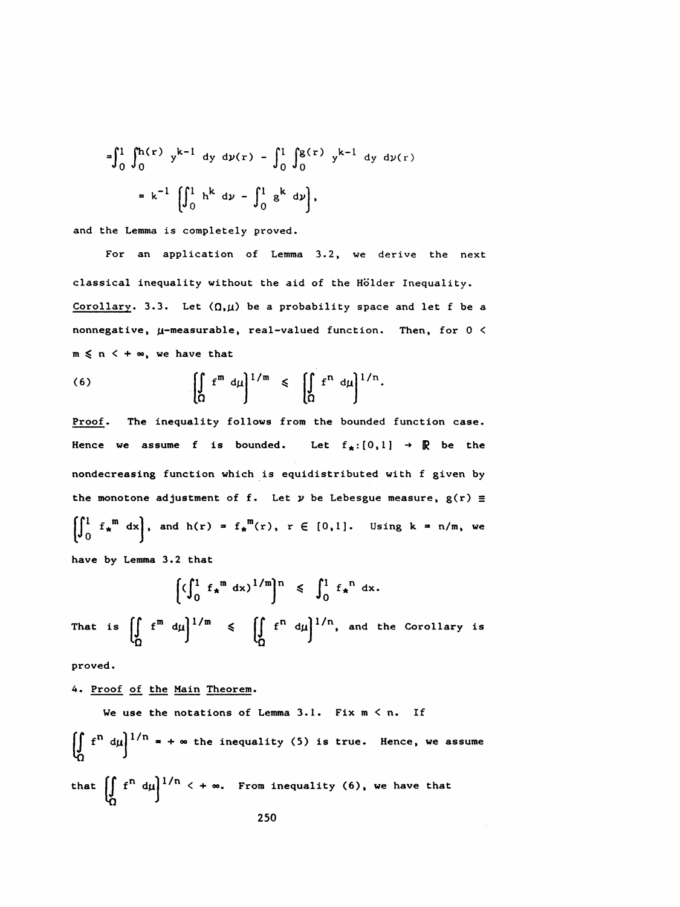$$
= \int_{0}^{1} \int_{0}^{h(r)} y^{k-1} dy dy(r) - \int_{0}^{1} \int_{0}^{g(r)} y^{k-1} dy dy(r)
$$

$$
= k^{-1} \left[ \int_{0}^{1} h^{k} dy - \int_{0}^{1} g^{k} dy \right],
$$

and the Lemma is completely proved.

 For an application of Lemma 3.2, we derive the next classical inequality without the aid of the Hölder Inequality. Corollary. 3.3. Let  $(0,\mu)$  be a probability space and let f be a nonnegative,  $\mu$ -measurable, real-valued function. Then, for  $0 <$  $m \leq n \leq +\infty$ , we have that

(6) 
$$
\left[\int_{\Omega} f^{m} d\mu\right]^{1/m} \leqslant \left[\int_{\Omega} f^{n} d\mu\right]^{1/n}.
$$

Proof. The inequality follows from the bounded function case. Hence we assume f is bounded. Let  $f_*:[0,1] \rightarrow \mathbb{R}$  be the nondecreasing function which is equidistributed with f given by the monotone adjustment of f. Let  $\nu$  be Lebesgue measure,  $g(r) \equiv$  $\iint_{0}^{1} f_{\star}^{m} dx$ , and h(r) =  $f_{\star}^{m}(r)$ , r  $\in$  [0,1]. Using k = n/m, we

have by Lemma 3.2 that

$$
\left[\left(\int_0^1 f_\star^m dx\right)^{1/m}\right]^n \leqslant \int_0^1 f_\star^m dx.
$$

That is  $\left[\int_{0}^{m} f^{m} dy \right]^{1/m} \leq \left[\int_{0}^{n} f^{n} dy \right]^{1/n}$ , and the Corollary is

proved.

4. Proof of the Main Theorem.

We use the notations of Lemma 3.1. Fix m < n. If\n
$$
\iint_{\Omega} f^n d\mu \bigg]^{1/n} = + \infty
$$
\nthe inequality (5) is true. Hence, we assume\nthat\n
$$
\iint_{\Omega} f^n d\mu \bigg]^{1/n} \cdot + \infty
$$
\nFrom inequality (6), we have that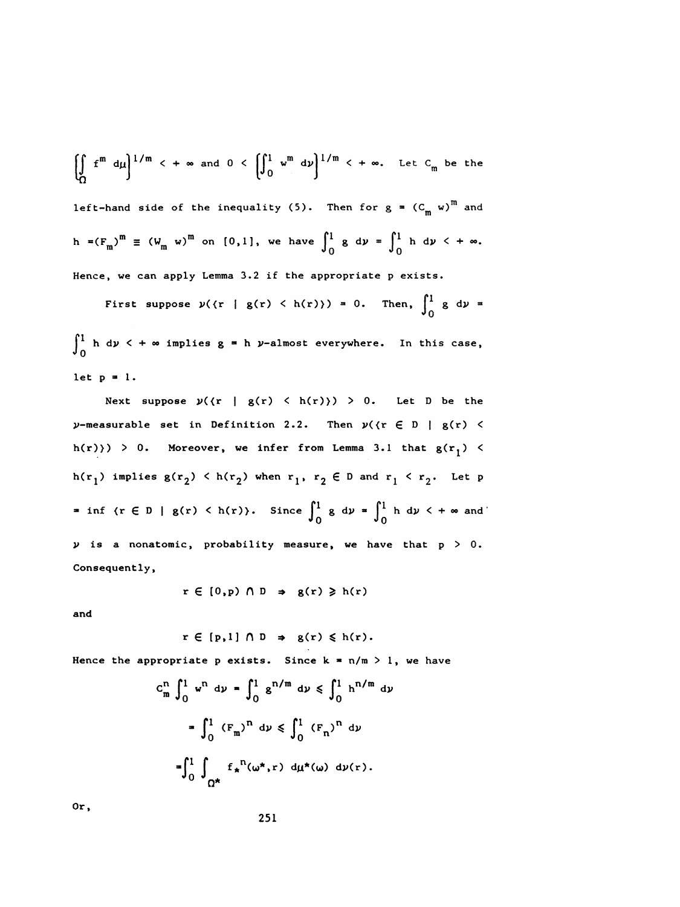$$
\left[\int_{\Omega} f^{m} d\mu\right]^{1/m} < +\infty \text{ and } 0 < \left[\int_{0}^{1} w^{m} d\nu\right]^{1/m} < +\infty. \text{ Let } C_{m} \text{ be the}
$$

left-hand side of the inequality (5). Then for  $g = (C_m w)^m$  and h =( $F_m$ )<sup>m</sup>  $\equiv$  ( $W_m$  w)<sup>m</sup> on [0,1], we have  $\int_0^1 g \, d\nu = \int_0^1 h \, d\nu$  <  $+ \infty$ .  $\binom{m}{m}$  =  $(W_m \ w)^m$  on [0,1], we have  $\int_0^1 g \ dy = \int_0^1$ Hence, we can apply Lemma 3.2 if the appropriate p exists.

First suppose  $\nu$ ( $\tau$  | g(r) < h(r) $\rangle$ ) = 0. Then,  $\int_0^1$  g d $\nu$  =  $\int_{0}^{\pi}$  h dy  $\lt$  +  $\infty$  implies g = n y-almost everywhere. let  $p = 1$ .

Next suppose  $y({r \mid g(r) \leq h(r)}) > 0$ . Let D be the  $\nu$ -measurable set in Definition 2.2. Then  $\nu$ ( $\{\mathbf{r} \in D \mid \mathbf{g}(\mathbf{r}) \leq \mathbf{g}(\mathbf{r})\}$ h(r) > 0. Moreover, we infer from Lemma 3.1 that  $g(r_1)$  < h(r<sub>1</sub>) implies  $g(r_2)$   $\langle$  h(r<sub>2</sub>) when r<sub>1</sub>, r<sub>2</sub>  $\in$  D and r<sub>1</sub>  $\langle$  r<sub>2</sub>. Let p = inf  $\{r \in D \mid g(r) < h(r)\}$ . Since  $\int_0^1 g \, d\nu = \int_0^1 h \, d\nu < +\infty$  and  $\nu$  is a nonatomic, probability measure, we have that  $p > 0$ . Consequently,

$$
r \in [0,p) \cap D \Rightarrow g(r) \geq h(r)
$$

and

$$
r \in [p,1] \cap D \Rightarrow g(r) \leq h(r).
$$

Hence the appropriate p exists. Since  $k = n/m > 1$ , we have

$$
C_{m}^{n} \int_{0}^{1} w^{n} dy = \int_{0}^{1} g^{n/m} dy \leq \int_{0}^{1} h^{n/m} dy
$$
  
= 
$$
\int_{0}^{1} (F_{m})^{n} dy \leq \int_{0}^{1} (F_{n})^{n} dy
$$
  
= 
$$
\int_{0}^{1} \int_{\Omega^{*}} f_{*}^{n} (\omega^{*}, r) dy_{*} (\omega) dy(r).
$$

Or,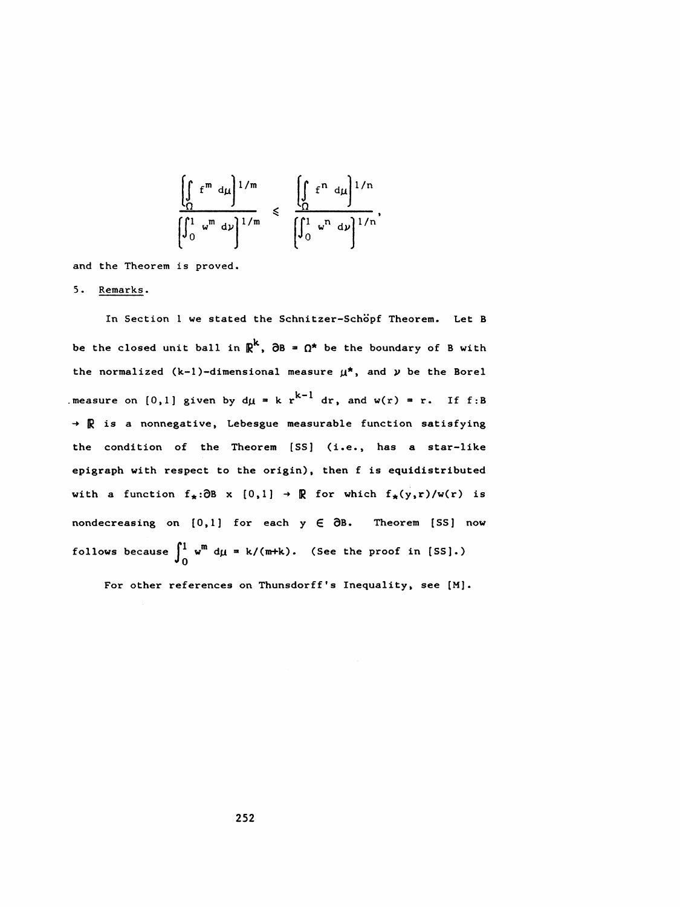$$
\frac{\left[\int_{\Omega} f^{m} d\mu\right]^{1/m}}{\left[\int_{0}^{1} w^{m} d\nu\right]^{1/m}} \leq \frac{\left[\int_{\Omega} f^{n} d\mu\right]^{1/n}}{\left[\int_{0}^{1} w^{n} d\nu\right]^{1/n}},
$$

and the Theorem is proved.

5 . Remarks .

In Section 1 we stated the Schnitzer-Schöpf Theorem. Let B be the closed unit ball in  $\mathbb{R}^k$ ,  $\partial B = \Omega^*$  be the boundary of B with the normalized (k-1)-dimensional measure  $\mu^*$ , and  $\nu$  be the Borel .measure on [0,1] given by  $d\mu = k r^{k-1} dr$ , and w(r) = r. If f:B  $\rightarrow \mathbb{R}$  is a nonnegative, Lebesgue measurable function satisfying the condition of the Theorem [SS] (i.e., has a star-like epigraph with respect to the origin), then f is equidistributed with a function  $f_{\star}:\partial B \times [0,1] \rightarrow \mathbb{R}$  for which  $f_{\star}(y,r)/w(r)$  is nondecreasing on  $[0,1]$  for each  $y \in \partial B$ . Theorem [SS] now follows because  $\int_0^1$  w<sup>m</sup> d $\mu$  = k/(m+k). (See the proof in [SS].)

For other references on Thunsdorff's Inequality, see [M].